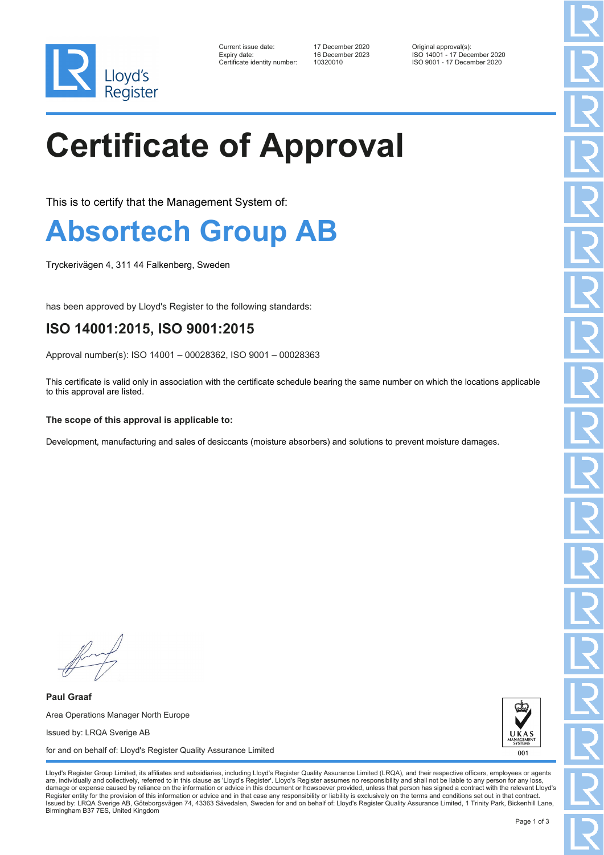

| Current issue date:         |
|-----------------------------|
| Expiry date:                |
| Certificate identity number |

Current issue date: 17 December 2020 Original approval(s): Expiry date: 16 December 2023 ISO 14001 - 17 December 2020 10320010 ISO 9001 - 17 December 2020

# **Certificate of Approval**

This is to certify that the Management System of:

### **Absortech Group AB**

Tryckerivägen 4, 311 44 Falkenberg, Sweden

has been approved by Lloyd's Register to the following standards:

### **ISO 14001:2015, ISO 9001:2015**

Approval number(s): ISO 14001 – 00028362, ISO 9001 – 00028363

This certificate is valid only in association with the certificate schedule bearing the same number on which the locations applicable to this approval are listed.

#### **The scope of this approval is applicable to:**

Development, manufacturing and sales of desiccants (moisture absorbers) and solutions to prevent moisture damages.

**Paul Graaf** Area Operations Manager North Europe Issued by: LRQA Sverige AB for and on behalf of: Lloyd's Register Quality Assurance Limited



Lloyd's Register Group Limited, its affiliates and subsidiaries, including Lloyd's Register Quality Assurance Limited (LRQA), and their respective officers, employees or agents are, individually and collectively, referred to in this clause as 'Lloyd's Register'. Lloyd's Register assumes no responsibility and shall not be liable to any person for any los damage or expense caused by reliance on the information or advice in this document or howsoever provided, unless that person has signed a contract with the relevant Lloyd's<br>Register entity for the provision of this informa Issued by: LRQA Sverige AB, Göteborgsvägen 74, 43363 Sävedalen, Sweden for and on behalf of: Lloyd's Register Quality Assurance Limited, 1 Trinity Park, Bickenhill Lane, Birmingham B37 7ES, United Kingdom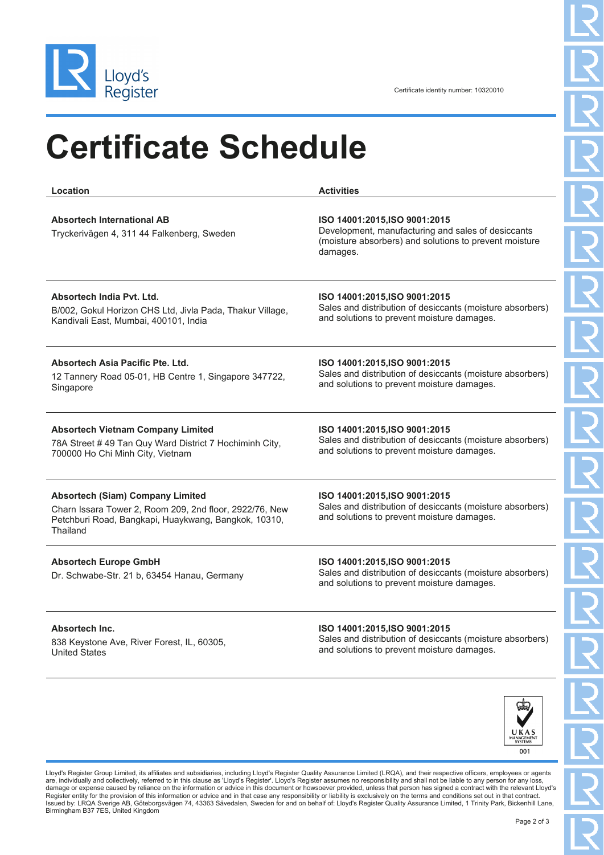

## **Certificate Schedule**

| Location                                                                                                                                                               | <b>Activities</b>                                                                                                                                         |
|------------------------------------------------------------------------------------------------------------------------------------------------------------------------|-----------------------------------------------------------------------------------------------------------------------------------------------------------|
| <b>Absortech International AB</b><br>Tryckerivägen 4, 311 44 Falkenberg, Sweden                                                                                        | ISO 14001:2015, ISO 9001:2015<br>Development, manufacturing and sales of desiccants<br>(moisture absorbers) and solutions to prevent moisture<br>damages. |
| Absortech India Pyt. Ltd.                                                                                                                                              | ISO 14001:2015, ISO 9001:2015                                                                                                                             |
| B/002, Gokul Horizon CHS Ltd, Jivla Pada, Thakur Village,                                                                                                              | Sales and distribution of desiccants (moisture absorbers)                                                                                                 |
| Kandivali East, Mumbai, 400101, India                                                                                                                                  | and solutions to prevent moisture damages.                                                                                                                |
| Absortech Asia Pacific Pte. Ltd.                                                                                                                                       | ISO 14001:2015, ISO 9001:2015                                                                                                                             |
| 12 Tannery Road 05-01, HB Centre 1, Singapore 347722,                                                                                                                  | Sales and distribution of desiccants (moisture absorbers)                                                                                                 |
| Singapore                                                                                                                                                              | and solutions to prevent moisture damages.                                                                                                                |
| <b>Absortech Vietnam Company Limited</b>                                                                                                                               | ISO 14001:2015, ISO 9001:2015                                                                                                                             |
| 78A Street #49 Tan Quy Ward District 7 Hochiminh City,                                                                                                                 | Sales and distribution of desiccants (moisture absorbers)                                                                                                 |
| 700000 Ho Chi Minh City, Vietnam                                                                                                                                       | and solutions to prevent moisture damages.                                                                                                                |
| <b>Absortech (Siam) Company Limited</b><br>Charn Issara Tower 2, Room 209, 2nd floor, 2922/76, New<br>Petchburi Road, Bangkapi, Huaykwang, Bangkok, 10310,<br>Thailand | ISO 14001:2015, ISO 9001:2015<br>Sales and distribution of desiccants (moisture absorbers)<br>and solutions to prevent moisture damages.                  |
| <b>Absortech Europe GmbH</b><br>Dr. Schwabe-Str. 21 b, 63454 Hanau, Germany                                                                                            | ISO 14001:2015, ISO 9001:2015<br>Sales and distribution of desiccants (moisture absorbers)<br>and solutions to prevent moisture damages.                  |
| Absortech Inc.                                                                                                                                                         | ISO 14001:2015, ISO 9001:2015                                                                                                                             |
| 838 Keystone Ave, River Forest, IL, 60305,                                                                                                                             | Sales and distribution of desiccants (moisture absorbers)                                                                                                 |
| <b>United States</b>                                                                                                                                                   | and solutions to prevent moisture damages.                                                                                                                |



Lloyd's Register Group Limited, its affiliates and subsidiaries, including Lloyd's Register Quality Assurance Limited (LRQA), and their respective officers, employees or agents are, individually and collectively, referred to in this clause as 'Lloyd's Register'. Lloyd's Register assumes no responsibility and shall not be liable to any person for any loss,<br>Ramage or expense caused by reliance on t